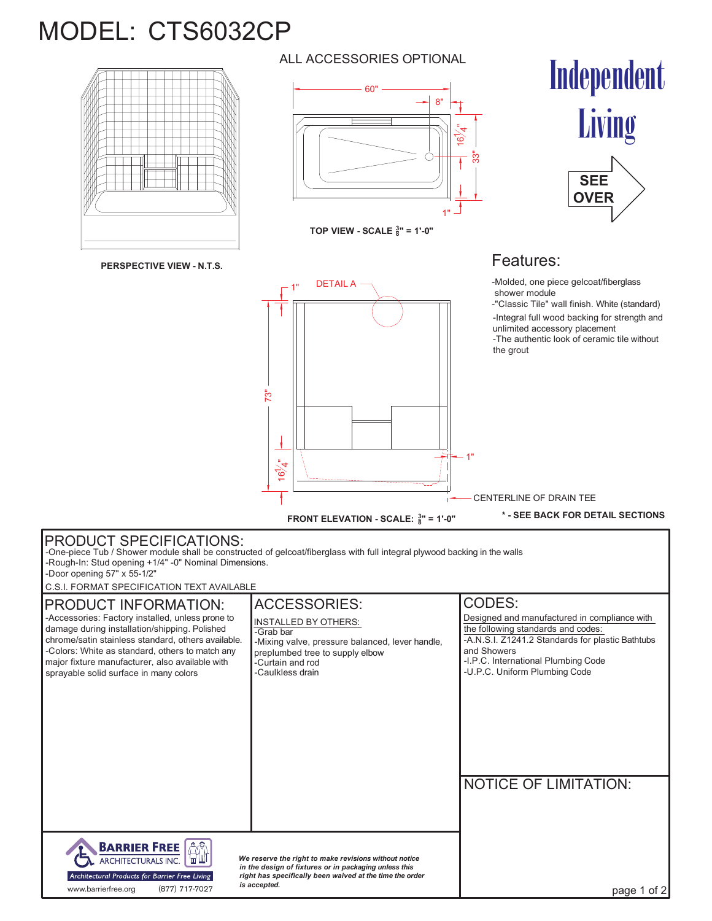## MODEL: CTS6032CP



**PERSPECTIVE VIEW - N.T.S.**

ALL ACCESSORIES OPTIONAL



**TOP VIEW - SCALE <sup>3</sup> 8" = 1'-0"**

DETAIL A

 $-1"$ 

ے<br>ا .<br>त

73"





## Features:

1"

-Molded, one piece gelcoat/fiberglass shower module

-Integral full wood backing for strength and unlimited accessory placement -The authentic look of ceramic tile without the grout -"Classic Tile" wall finish. White (standard)

|                                                                                                                                                                                                                                                                                                                                 |                                                                                                                                                                                               | — CENTERLINE OF DRAIN TEE                                                                                                                                                                                                                      |
|---------------------------------------------------------------------------------------------------------------------------------------------------------------------------------------------------------------------------------------------------------------------------------------------------------------------------------|-----------------------------------------------------------------------------------------------------------------------------------------------------------------------------------------------|------------------------------------------------------------------------------------------------------------------------------------------------------------------------------------------------------------------------------------------------|
|                                                                                                                                                                                                                                                                                                                                 | FRONT ELEVATION - SCALE: $\frac{3}{8}$ " = 1'-0"                                                                                                                                              | * - SEE BACK FOR DETAIL SECTIONS                                                                                                                                                                                                               |
| <b>PRODUCT SPECIFICATIONS:</b><br>-One-piece Tub / Shower module shall be constructed of gelcoat/fiberglass with full integral plywood backing in the walls<br>-Rough-In: Stud opening +1/4" -0" Nominal Dimensions.<br>-Door opening 57" x 55-1/2"<br>C.S.I. FORMAT SPECIFICATION TEXT AVAILABLE                               |                                                                                                                                                                                               |                                                                                                                                                                                                                                                |
| PRODUCT INFORMATION:<br>-Accessories: Factory installed, unless prone to<br>damage during installation/shipping. Polished<br>chrome/satin stainless standard, others available.<br>-Colors: White as standard, others to match any<br>major fixture manufacturer, also available with<br>sprayable solid surface in many colors | <b>ACCESSORIES:</b><br><b>INSTALLED BY OTHERS:</b><br>-Grab bar<br>-Mixing valve, pressure balanced, lever handle,<br>preplumbed tree to supply elbow<br>-Curtain and rod<br>-Caulkless drain | <b>CODES:</b><br>Designed and manufactured in compliance with<br>the following standards and codes:<br>-A.N.S.I. Z1241.2 Standards for plastic Bathtubs<br>and Showers<br>-I.P.C. International Plumbing Code<br>-U.P.C. Uniform Plumbing Code |
|                                                                                                                                                                                                                                                                                                                                 |                                                                                                                                                                                               | <b>NOTICE OF LIMITATION:</b>                                                                                                                                                                                                                   |
| <b>BARRIER FREE</b><br>ARCHITECTURALS INC.<br>Architectural Products for Barrier Free Living<br>(877) 717-7027<br>www.barrierfree.org                                                                                                                                                                                           | We reserve the right to make revisions without notice<br>in the design of fixtures or in packaging unless this<br>right has specifically been waived at the time the order<br>is accepted.    | page 1 of 2                                                                                                                                                                                                                                    |